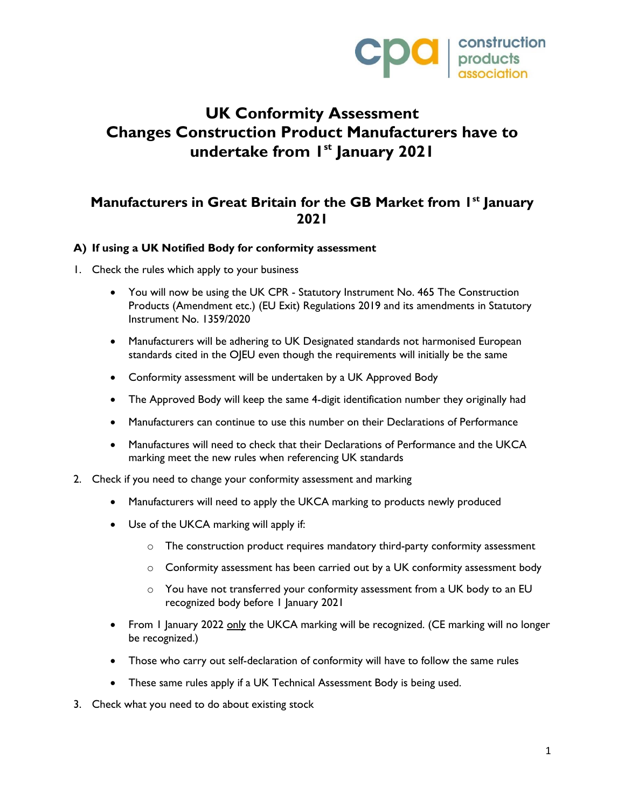

## **UK Conformity Assessment Changes Construction Product Manufacturers have to undertake from 1st January 2021**

## **Manufacturers in Great Britain for the GB Market from 1st January 2021**

#### **A) If using a UK Notified Body for conformity assessment**

- 1. Check the rules which apply to your business
	- You will now be using the UK CPR Statutory Instrument No. 465 The Construction Products (Amendment etc.) (EU Exit) Regulations 2019 and its amendments in Statutory Instrument No. 1359/2020
	- Manufacturers will be adhering to UK Designated standards not harmonised European standards cited in the OJEU even though the requirements will initially be the same
	- Conformity assessment will be undertaken by a UK Approved Body
	- The Approved Body will keep the same 4-digit identification number they originally had
	- Manufacturers can continue to use this number on their Declarations of Performance
	- Manufactures will need to check that their Declarations of Performance and the UKCA marking meet the new rules when referencing UK standards
- 2. Check if you need to change your conformity assessment and marking
	- Manufacturers will need to apply the UKCA marking to products newly produced
	- Use of the UKCA marking will apply if:
		- $\circ$  The construction product requires mandatory third-party conformity assessment
		- o Conformity assessment has been carried out by a UK conformity assessment body
		- o You have not transferred your conformity assessment from a UK body to an EU recognized body before 1 January 2021
	- From 1 January 2022 only the UKCA marking will be recognized. (CE marking will no longer be recognized.)
	- Those who carry out self-declaration of conformity will have to follow the same rules
	- These same rules apply if a UK Technical Assessment Body is being used.
- 3. Check what you need to do about existing stock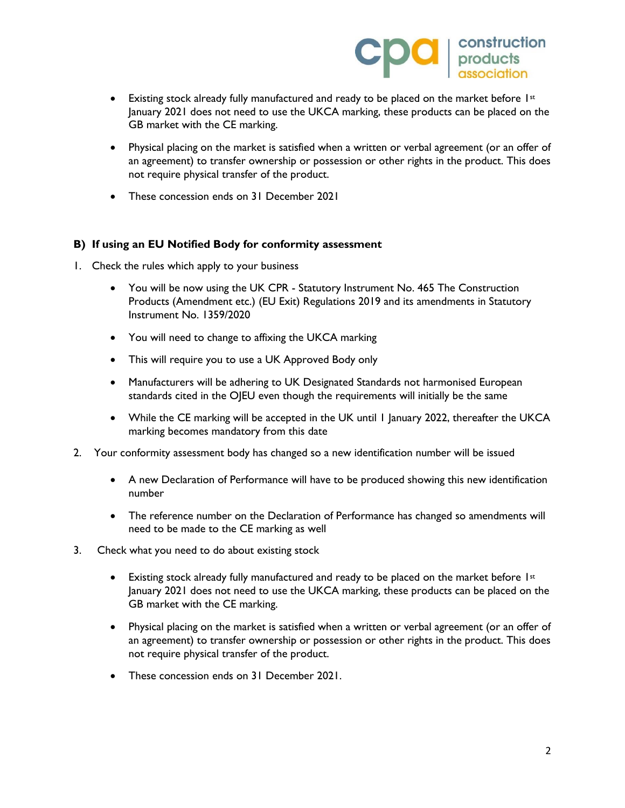

- Existing stock already fully manufactured and ready to be placed on the market before  $1^{st}$ January 2021 does not need to use the UKCA marking, these products can be placed on the GB market with the CE marking.
- Physical placing on the market is satisfied when a written or verbal agreement (or an offer of an agreement) to transfer ownership or possession or other rights in the product. This does not require physical transfer of the product.
- These concession ends on 31 December 2021

#### **B) If using an EU Notified Body for conformity assessment**

- 1. Check the rules which apply to your business
	- You will be now using the UK CPR Statutory Instrument No. 465 The Construction Products (Amendment etc.) (EU Exit) Regulations 2019 and its amendments in Statutory Instrument No. 1359/2020
	- You will need to change to affixing the UKCA marking
	- This will require you to use a UK Approved Body only
	- Manufacturers will be adhering to UK Designated Standards not harmonised European standards cited in the OJEU even though the requirements will initially be the same
	- While the CE marking will be accepted in the UK until 1 January 2022, thereafter the UKCA marking becomes mandatory from this date
- 2. Your conformity assessment body has changed so a new identification number will be issued
	- A new Declaration of Performance will have to be produced showing this new identification number
	- The reference number on the Declaration of Performance has changed so amendments will need to be made to the CE marking as well
- 3. Check what you need to do about existing stock
	- Existing stock already fully manufactured and ready to be placed on the market before 1st January 2021 does not need to use the UKCA marking, these products can be placed on the GB market with the CE marking.
	- Physical placing on the market is satisfied when a written or verbal agreement (or an offer of an agreement) to transfer ownership or possession or other rights in the product. This does not require physical transfer of the product.
	- These concession ends on 31 December 2021.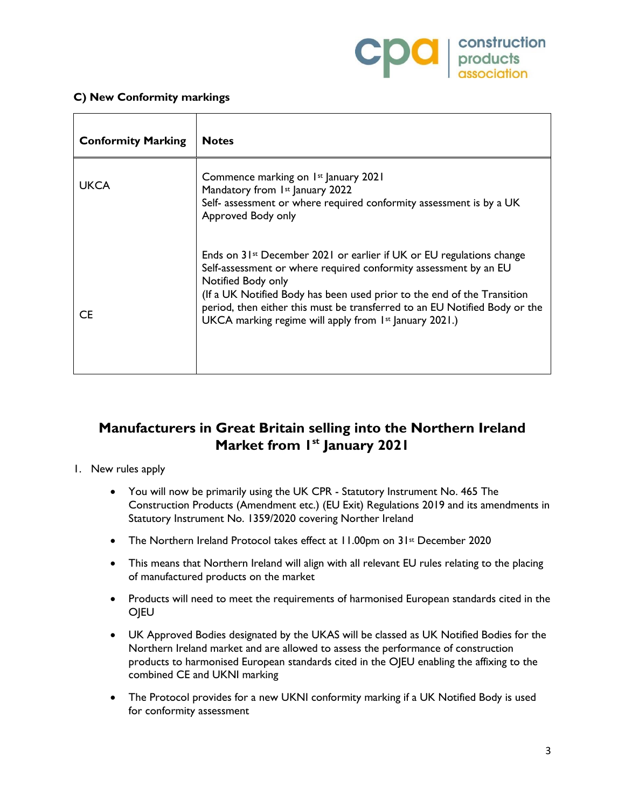

#### **C) New Conformity markings**

| <b>Conformity Marking</b> | <b>Notes</b>                                                                                                                                                                                                                                                                                                                                                                                  |
|---------------------------|-----------------------------------------------------------------------------------------------------------------------------------------------------------------------------------------------------------------------------------------------------------------------------------------------------------------------------------------------------------------------------------------------|
| <b>UKCA</b>               | Commence marking on 1 <sup>st</sup> January 2021<br>Mandatory from 1st January 2022<br>Self- assessment or where required conformity assessment is by a UK<br>Approved Body only                                                                                                                                                                                                              |
| СE                        | Ends on 31 <sup>st</sup> December 2021 or earlier if UK or EU regulations change<br>Self-assessment or where required conformity assessment by an EU<br>Notified Body only<br>(If a UK Notified Body has been used prior to the end of the Transition<br>period, then either this must be transferred to an EU Notified Body or the<br>UKCA marking regime will apply from 1st January 2021.) |

## **Manufacturers in Great Britain selling into the Northern Ireland Market from 1st January 2021**

#### 1. New rules apply

- You will now be primarily using the UK CPR Statutory Instrument No. 465 The Construction Products (Amendment etc.) (EU Exit) Regulations 2019 and its amendments in Statutory Instrument No. 1359/2020 covering Norther Ireland
- The Northern Ireland Protocol takes effect at 11.00pm on 31st December 2020
- This means that Northern Ireland will align with all relevant EU rules relating to the placing of manufactured products on the market
- Products will need to meet the requirements of harmonised European standards cited in the OJEU
- UK Approved Bodies designated by the UKAS will be classed as UK Notified Bodies for the Northern Ireland market and are allowed to assess the performance of construction products to harmonised European standards cited in the OJEU enabling the affixing to the combined CE and UKNI marking
- The Protocol provides for a new UKNI conformity marking if a UK Notified Body is used for conformity assessment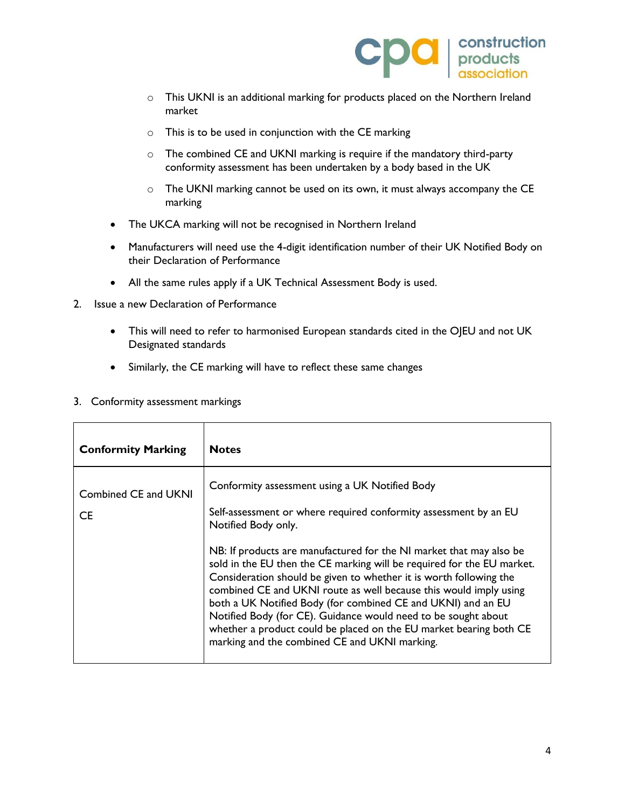

- o This UKNI is an additional marking for products placed on the Northern Ireland market
- o This is to be used in conjunction with the CE marking
- o The combined CE and UKNI marking is require if the mandatory third-party conformity assessment has been undertaken by a body based in the UK
- $\circ$  The UKNI marking cannot be used on its own, it must always accompany the CE marking
- The UKCA marking will not be recognised in Northern Ireland
- Manufacturers will need use the 4-digit identification number of their UK Notified Body on their Declaration of Performance
- All the same rules apply if a UK Technical Assessment Body is used.
- 2. Issue a new Declaration of Performance
	- This will need to refer to harmonised European standards cited in the OJEU and not UK Designated standards
	- Similarly, the CE marking will have to reflect these same changes
- 3. Conformity assessment markings

| <b>Conformity Marking</b>         | <b>Notes</b>                                                                                                                                                                                                                                                                                                                                                                                                                                                                                                                                                                                                                                                                                   |
|-----------------------------------|------------------------------------------------------------------------------------------------------------------------------------------------------------------------------------------------------------------------------------------------------------------------------------------------------------------------------------------------------------------------------------------------------------------------------------------------------------------------------------------------------------------------------------------------------------------------------------------------------------------------------------------------------------------------------------------------|
| Combined CE and UKNI<br><b>CE</b> | Conformity assessment using a UK Notified Body<br>Self-assessment or where required conformity assessment by an EU<br>Notified Body only.<br>NB: If products are manufactured for the NI market that may also be<br>sold in the EU then the CE marking will be required for the EU market.<br>Consideration should be given to whether it is worth following the<br>combined CE and UKNI route as well because this would imply using<br>both a UK Notified Body (for combined CE and UKNI) and an EU<br>Notified Body (for CE). Guidance would need to be sought about<br>whether a product could be placed on the EU market bearing both CE<br>marking and the combined CE and UKNI marking. |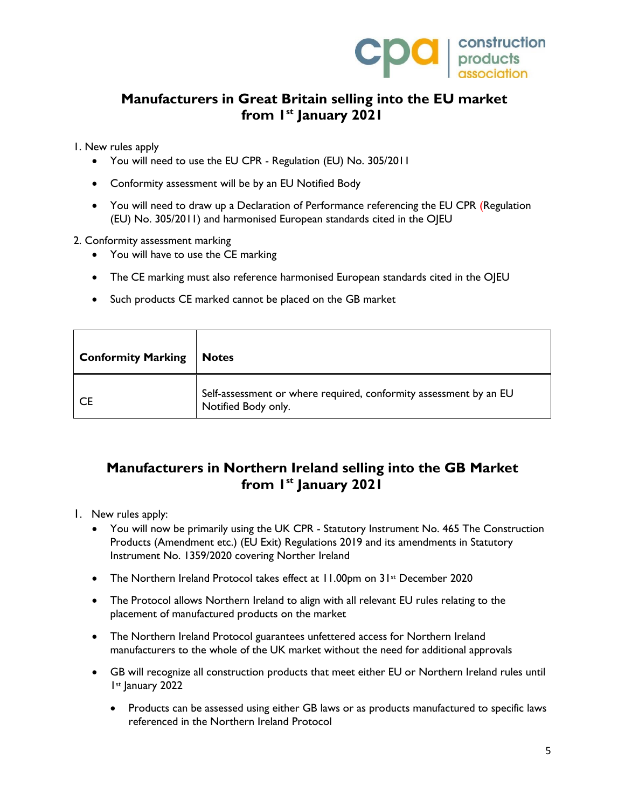

## **Manufacturers in Great Britain selling into the EU market from 1st January 2021**

1. New rules apply

- You will need to use the EU CPR Regulation (EU) No. 305/2011
- Conformity assessment will be by an EU Notified Body
- You will need to draw up a Declaration of Performance referencing the EU CPR (Regulation (EU) No. 305/2011) and harmonised European standards cited in the OJEU

2. Conformity assessment marking

- You will have to use the CE marking
- The CE marking must also reference harmonised European standards cited in the OJEU
- Such products CE marked cannot be placed on the GB market

| <b>Conformity Marking</b> | <b>Notes</b>                                                                             |
|---------------------------|------------------------------------------------------------------------------------------|
| <b>CE</b>                 | Self-assessment or where required, conformity assessment by an EU<br>Notified Body only. |

## **Manufacturers in Northern Ireland selling into the GB Market from 1st January 2021**

- 1. New rules apply:
	- You will now be primarily using the UK CPR Statutory Instrument No. 465 The Construction Products (Amendment etc.) (EU Exit) Regulations 2019 and its amendments in Statutory Instrument No. 1359/2020 covering Norther Ireland
	- The Northern Ireland Protocol takes effect at 11.00pm on 31st December 2020
	- The Protocol allows Northern Ireland to align with all relevant EU rules relating to the placement of manufactured products on the market
	- The Northern Ireland Protocol guarantees unfettered access for Northern Ireland manufacturers to the whole of the UK market without the need for additional approvals
	- GB will recognize all construction products that meet either EU or Northern Ireland rules until I<sup>st</sup> January 2022
		- Products can be assessed using either GB laws or as products manufactured to specific laws referenced in the Northern Ireland Protocol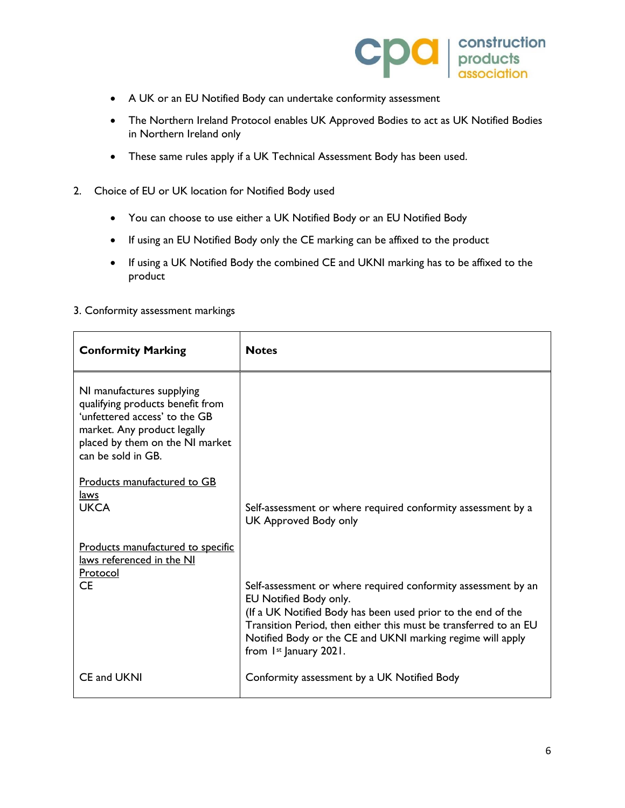

- A UK or an EU Notified Body can undertake conformity assessment
- The Northern Ireland Protocol enables UK Approved Bodies to act as UK Notified Bodies in Northern Ireland only
- These same rules apply if a UK Technical Assessment Body has been used.
- 2. Choice of EU or UK location for Notified Body used
	- You can choose to use either a UK Notified Body or an EU Notified Body
	- If using an EU Notified Body only the CE marking can be affixed to the product
	- If using a UK Notified Body the combined CE and UKNI marking has to be affixed to the product
- 3. Conformity assessment markings

| <b>Conformity Marking</b>                                                                                                                                                              | <b>Notes</b>                                                                                                                                                                                                                                                                                                        |
|----------------------------------------------------------------------------------------------------------------------------------------------------------------------------------------|---------------------------------------------------------------------------------------------------------------------------------------------------------------------------------------------------------------------------------------------------------------------------------------------------------------------|
| NI manufactures supplying<br>qualifying products benefit from<br>'unfettered access' to the GB<br>market. Any product legally<br>placed by them on the NI market<br>can be sold in GB. |                                                                                                                                                                                                                                                                                                                     |
| Products manufactured to GB<br>laws<br><b>UKCA</b>                                                                                                                                     | Self-assessment or where required conformity assessment by a<br>UK Approved Body only                                                                                                                                                                                                                               |
| Products manufactured to specific<br>laws referenced in the NI<br>Protocol                                                                                                             |                                                                                                                                                                                                                                                                                                                     |
| <b>CE</b>                                                                                                                                                                              | Self-assessment or where required conformity assessment by an<br>EU Notified Body only.<br>(If a UK Notified Body has been used prior to the end of the<br>Transition Period, then either this must be transferred to an EU<br>Notified Body or the CE and UKNI marking regime will apply<br>from 1st January 2021. |
| CE and UKNI                                                                                                                                                                            | Conformity assessment by a UK Notified Body                                                                                                                                                                                                                                                                         |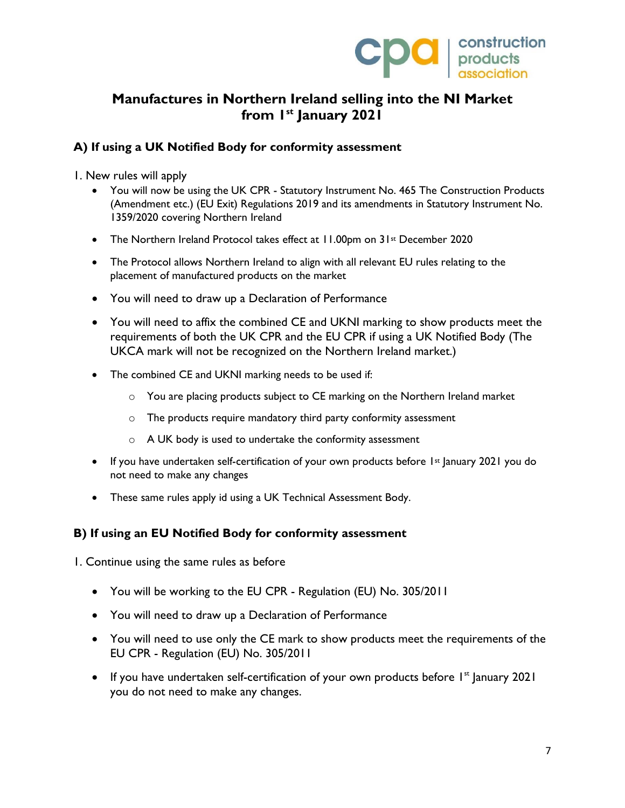

## **Manufactures in Northern Ireland selling into the NI Market from 1st January 2021**

## **A) If using a UK Notified Body for conformity assessment**

1. New rules will apply

- You will now be using the UK CPR Statutory Instrument No. 465 The Construction Products (Amendment etc.) (EU Exit) Regulations 2019 and its amendments in Statutory Instrument No. 1359/2020 covering Northern Ireland
- The Northern Ireland Protocol takes effect at 11.00pm on 31st December 2020
- The Protocol allows Northern Ireland to align with all relevant EU rules relating to the placement of manufactured products on the market
- You will need to draw up a Declaration of Performance
- You will need to affix the combined CE and UKNI marking to show products meet the requirements of both the UK CPR and the EU CPR if using a UK Notified Body (The UKCA mark will not be recognized on the Northern Ireland market.)
- The combined CE and UKNI marking needs to be used if:
	- o You are placing products subject to CE marking on the Northern Ireland market
	- o The products require mandatory third party conformity assessment
	- o A UK body is used to undertake the conformity assessment
- If you have undertaken self-certification of your own products before 1<sup>st</sup> January 2021 you do not need to make any changes
- These same rules apply id using a UK Technical Assessment Body.

#### **B) If using an EU Notified Body for conformity assessment**

1. Continue using the same rules as before

- You will be working to the EU CPR Regulation (EU) No. 305/2011
- You will need to draw up a Declaration of Performance
- You will need to use only the CE mark to show products meet the requirements of the EU CPR - Regulation (EU) No. 305/2011
- If you have undertaken self-certification of your own products before I<sup>st</sup> January 2021 you do not need to make any changes.